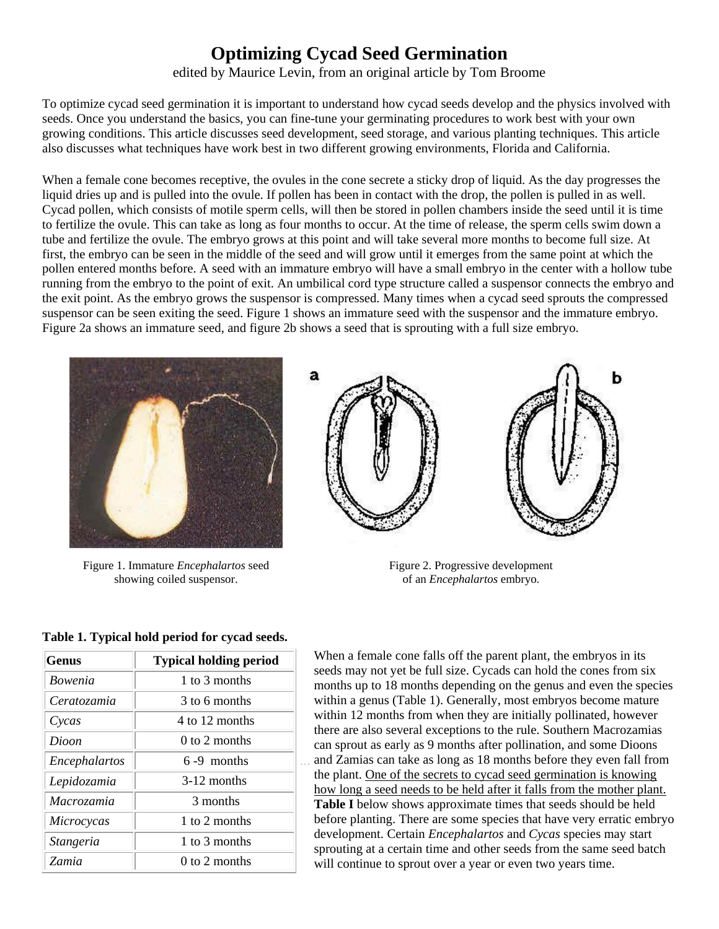## **Optimizing Cycad Seed Germination**

edited by Maurice Levin, from an original article by Tom Broome

To optimize cycad seed germination it is important to understand how cycad seeds develop and the physics involved with seeds. Once you understand the basics, you can fine-tune your germinating procedures to work best with your own growing conditions. This article discusses seed development, seed storage, and various planting techniques. This article also discusses what techniques have work best in two different growing environments, Florida and California.

When a female cone becomes receptive, the ovules in the cone secrete a sticky drop of liquid. As the day progresses the liquid dries up and is pulled into the ovule. If pollen has been in contact with the drop, the pollen is pulled in as well. Cycad pollen, which consists of motile sperm cells, will then be stored in pollen chambers inside the seed until it is time to fertilize the ovule. This can take as long as four months to occur. At the time of release, the sperm cells swim down a tube and fertilize the ovule. The embryo grows at this point and will take several more months to become full size. At first, the embryo can be seen in the middle of the seed and will grow until it emerges from the same point at which the pollen entered months before. A seed with an immature embryo will have a small embryo in the center with a hollow tube running from the embryo to the point of exit. An umbilical cord type structure called a suspensor connects the embryo and the exit point. As the embryo grows the suspensor is compressed. Many times when a cycad seed sprouts the compressed suspensor can be seen exiting the seed. Figure 1 shows an immature seed with the suspensor and the immature embryo. Figure 2a shows an immature seed, and figure 2b shows a seed that is sprouting with a full size embryo.



Figure 1. Immature *Encephalartos* seed showing coiled suspensor.



Figure 2. Progressive development of an *Encephalartos* embryo.

| <b>Genus</b>     | <b>Typical holding period</b> |
|------------------|-------------------------------|
| <i>Bowenia</i>   | 1 to 3 months                 |
| Ceratozamia      | 3 to 6 months                 |
| Cycas            | 4 to 12 months                |
| Dioon            | $0$ to 2 months               |
| Encephalartos    | $6-9$ months                  |
| Lepidozamia      | $3-12$ months                 |
| Macrozamia       | 3 months                      |
| Microcycas       | 1 to 2 months                 |
| <b>Stangeria</b> | 1 to 3 months                 |
| Zamia            | $0$ to 2 months               |

...

**Table 1. Typical hold period for cycad seeds.**

When a female cone falls off the parent plant, the embryos in its seeds may not yet be full size. Cycads can hold the cones from six months up to 18 months depending on the genus and even the species within a genus (Table 1). Generally, most embryos become mature within 12 months from when they are initially pollinated, however there are also several exceptions to the rule. Southern Macrozamias can sprout as early as 9 months after pollination, and some Dioons and Zamias can take as long as 18 months before they even fall from the plant. One of the secrets to cycad seed germination is knowing how long a seed needs to be held after it falls from the mother plant. **Table I** below shows approximate times that seeds should be held before planting. There are some species that have very erratic embryo development. Certain *Encephalartos* and *Cycas* species may start sprouting at a certain time and other seeds from the same seed batch will continue to sprout over a year or even two years time.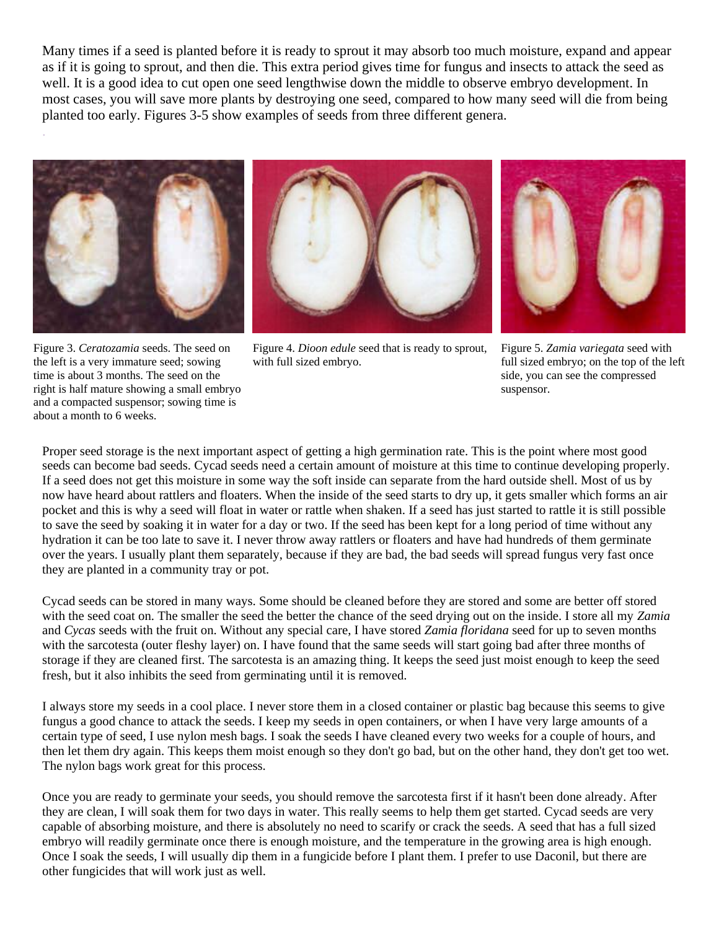Many times if a seed is planted before it is ready to sprout it may absorb too much moisture, expand and appear as if it is going to sprout, and then die. This extra period gives time for fungus and insects to attack the seed as well. It is a good idea to cut open one seed lengthwise down the middle to observe embryo development. In most cases, you will save more plants by destroying one seed, compared to how many seed will die from being planted too early. Figures 3-5 show examples of seeds from three different genera.



.

Figure 3. *Ceratozamia* seeds. The seed on the left is a very immature seed; sowing time is about 3 months. The seed on the right is half mature showing a small embryo and a compacted suspensor; sowing time is about a month to 6 weeks.



Figure 4. *Dioon edule* seed that is ready to sprout, with full sized embryo.



Figure 5. *Zamia variegata* seed with full sized embryo; on the top of the left side, you can see the compressed suspensor.

Proper seed storage is the next important aspect of getting a high germination rate. This is the point where most good seeds can become bad seeds. Cycad seeds need a certain amount of moisture at this time to continue developing properly. If a seed does not get this moisture in some way the soft inside can separate from the hard outside shell. Most of us by now have heard about rattlers and floaters. When the inside of the seed starts to dry up, it gets smaller which forms an air pocket and this is why a seed will float in water or rattle when shaken. If a seed has just started to rattle it is still possible to save the seed by soaking it in water for a day or two. If the seed has been kept for a long period of time without any hydration it can be too late to save it. I never throw away rattlers or floaters and have had hundreds of them germinate over the years. I usually plant them separately, because if they are bad, the bad seeds will spread fungus very fast once they are planted in a community tray or pot.

Cycad seeds can be stored in many ways. Some should be cleaned before they are stored and some are better off stored with the seed coat on. The smaller the seed the better the chance of the seed drying out on the inside. I store all my *Zamia* and *Cycas* seeds with the fruit on. Without any special care, I have stored *Zamia floridana* seed for up to seven months with the sarcotesta (outer fleshy layer) on. I have found that the same seeds will start going bad after three months of storage if they are cleaned first. The sarcotesta is an amazing thing. It keeps the seed just moist enough to keep the seed fresh, but it also inhibits the seed from germinating until it is removed.

I always store my seeds in a cool place. I never store them in a closed container or plastic bag because this seems to give fungus a good chance to attack the seeds. I keep my seeds in open containers, or when I have very large amounts of a certain type of seed, I use nylon mesh bags. I soak the seeds I have cleaned every two weeks for a couple of hours, and then let them dry again. This keeps them moist enough so they don't go bad, but on the other hand, they don't get too wet. The nylon bags work great for this process.

Once you are ready to germinate your seeds, you should remove the sarcotesta first if it hasn't been done already. After they are clean, I will soak them for two days in water. This really seems to help them get started. Cycad seeds are very capable of absorbing moisture, and there is absolutely no need to scarify or crack the seeds. A seed that has a full sized embryo will readily germinate once there is enough moisture, and the temperature in the growing area is high enough. Once I soak the seeds, I will usually dip them in a fungicide before I plant them. I prefer to use Daconil, but there are other fungicides that will work just as well.